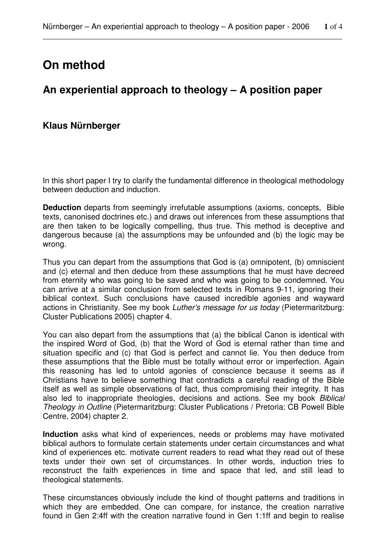# **On method**

## **An experiential approach to theology – A position paper**

### **Klaus Nürnberger**

In this short paper I try to clarify the fundamental difference in theological methodology between deduction and induction.

**Deduction** departs from seemingly irrefutable assumptions (axioms, concepts, Bible texts, canonised doctrines etc.) and draws out inferences from these assumptions that are then taken to be logically compelling, thus true. This method is deceptive and dangerous because (a) the assumptions may be unfounded and (b) the logic may be wrong.

Thus you can depart from the assumptions that God is (a) omnipotent, (b) omniscient and (c) eternal and then deduce from these assumptions that he must have decreed from eternity who was going to be saved and who was going to be condemned. You can arrive at a similar conclusion from selected texts in Romans 9-11, ignoring their biblical context. Such conclusions have caused incredible agonies and wayward actions in Christianity. See my book Luther's message for us today (Pietermaritzburg: Cluster Publications 2005) chapter 4.

You can also depart from the assumptions that (a) the biblical Canon is identical with the inspired Word of God, (b) that the Word of God is eternal rather than time and situation specific and (c) that God is perfect and cannot lie. You then deduce from these assumptions that the Bible must be totally without error or imperfection. Again this reasoning has led to untold agonies of conscience because it seems as if Christians have to believe something that contradicts a careful reading of the Bible itself as well as simple observations of fact, thus compromising their integrity. It has also led to inappropriate theologies, decisions and actions. See my book Biblical Theology in Outline (Pietermaritzburg: Cluster Publications / Pretoria: CB Powell Bible Centre, 2004) chapter 2.

**Induction** asks what kind of experiences, needs or problems may have motivated biblical authors to formulate certain statements under certain circumstances and what kind of experiences etc. motivate current readers to read what they read out of these texts under their own set of circumstances. In other words, induction tries to reconstruct the faith experiences in time and space that led, and still lead to theological statements.

These circumstances obviously include the kind of thought patterns and traditions in which they are embedded. One can compare, for instance, the creation narrative found in Gen 2:4ff with the creation narrative found in Gen 1:1ff and begin to realise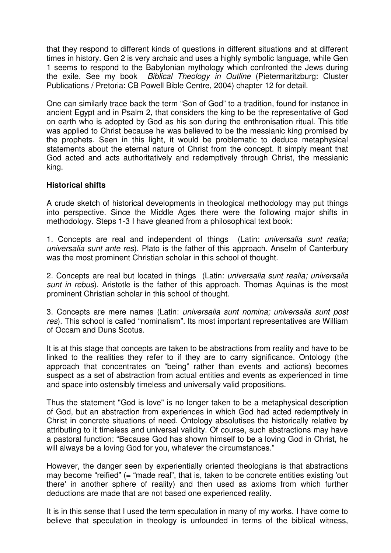that they respond to different kinds of questions in different situations and at different times in history. Gen 2 is very archaic and uses a highly symbolic language, while Gen 1 seems to respond to the Babylonian mythology which confronted the Jews during the exile. See my book Biblical Theology in Outline (Pietermaritzburg: Cluster Publications / Pretoria: CB Powell Bible Centre, 2004) chapter 12 for detail.

One can similarly trace back the term "Son of God" to a tradition, found for instance in ancient Egypt and in Psalm 2, that considers the king to be the representative of God on earth who is adopted by God as his son during the enthronisation ritual. This title was applied to Christ because he was believed to be the messianic king promised by the prophets. Seen in this light, it would be problematic to deduce metaphysical statements about the eternal nature of Christ from the concept. It simply meant that God acted and acts authoritatively and redemptively through Christ, the messianic king.

#### **Historical shifts**

A crude sketch of historical developments in theological methodology may put things into perspective. Since the Middle Ages there were the following major shifts in methodology. Steps 1-3 I have gleaned from a philosophical text book:

1. Concepts are real and independent of things (Latin: universalia sunt realia; universalia sunt ante res). Plato is the father of this approach. Anselm of Canterbury was the most prominent Christian scholar in this school of thought.

2. Concepts are real but located in things (Latin: *universalia sunt realia; universalia* sunt in rebus). Aristotle is the father of this approach. Thomas Aquinas is the most prominent Christian scholar in this school of thought.

3. Concepts are mere names (Latin: universalia sunt nomina; universalia sunt post res). This school is called "nominalism". Its most important representatives are William of Occam and Duns Scotus.

It is at this stage that concepts are taken to be abstractions from reality and have to be linked to the realities they refer to if they are to carry significance. Ontology (the approach that concentrates on "being" rather than events and actions) becomes suspect as a set of abstraction from actual entities and events as experienced in time and space into ostensibly timeless and universally valid propositions.

Thus the statement "God is love" is no longer taken to be a metaphysical description of God, but an abstraction from experiences in which God had acted redemptively in Christ in concrete situations of need. Ontology absolutises the historically relative by attributing to it timeless and universal validity. Of course, such abstractions may have a pastoral function: "Because God has shown himself to be a loving God in Christ, he will always be a loving God for you, whatever the circumstances."

However, the danger seen by experientially oriented theologians is that abstractions may become "reified" (= "made real", that is, taken to be concrete entities existing 'out there' in another sphere of reality) and then used as axioms from which further deductions are made that are not based one experienced reality.

It is in this sense that I used the term speculation in many of my works. I have come to believe that speculation in theology is unfounded in terms of the biblical witness,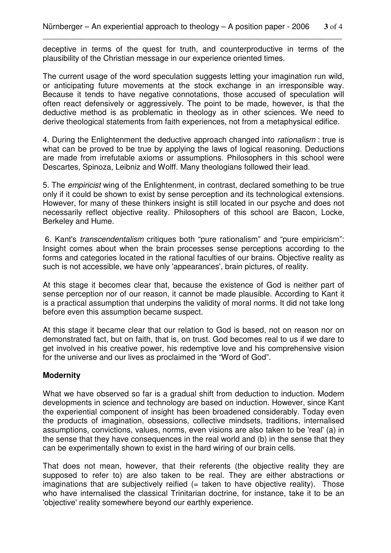deceptive in terms of the quest for truth, and counterproductive in terms of the plausibility of the Christian message in our experience oriented times.

The current usage of the word speculation suggests letting your imagination run wild, or anticipating future movements at the stock exchange in an irresponsible way. Because it tends to have negative connotations, those accused of speculation will often react defensively or aggressively. The point to be made, however, is that the deductive method is as problematic in theology as in other sciences. We need to derive theological statements from faith experiences, not from a metaphysical edifice.

4. During the Enlightenment the deductive approach changed into *rationalism*: true is what can be proved to be true by applying the laws of logical reasoning. Deductions are made from irrefutable axioms or assumptions. Philosophers in this school were Descartes, Spinoza, Leibniz and Wolff. Many theologians followed their lead.

5. The empiricist wing of the Enlightenment, in contrast, declared something to be true only if it could be shown to exist by sense perception and its technological extensions. However, for many of these thinkers insight is still located in our psyche and does not necessarily reflect objective reality. Philosophers of this school are Bacon, Locke, Berkeley and Hume.

 6. Kant's transcendentalism critiques both "pure rationalism" and "pure empiricism": Insight comes about when the brain processes sense perceptions according to the forms and categories located in the rational faculties of our brains. Objective reality as such is not accessible, we have only 'appearances', brain pictures, of reality.

At this stage it becomes clear that, because the existence of God is neither part of sense perception nor of our reason, it cannot be made plausible. According to Kant it is a practical assumption that underpins the validity of moral norms. It did not take long before even this assumption became suspect.

At this stage it became clear that our relation to God is based, not on reason nor on demonstrated fact, but on faith, that is, on trust. God becomes real to us if we dare to get involved in his creative power, his redemptive love and his comprehensive vision for the universe and our lives as proclaimed in the "Word of God".

#### **Modernity**

What we have observed so far is a gradual shift from deduction to induction. Modern developments in science and technology are based on induction. However, since Kant the experiential component of insight has been broadened considerably. Today even the products of imagination, obsessions, collective mindsets, traditions, internalised assumptions, convictions, values, norms, even visions are also taken to be 'real' (a) in the sense that they have consequences in the real world and (b) in the sense that they can be experimentally shown to exist in the hard wiring of our brain cells.

That does not mean, however, that their referents (the objective reality they are supposed to refer to) are also taken to be real. They are either abstractions or imaginations that are subjectively reified  $($  = taken to have objective reality). Those who have internalised the classical Trinitarian doctrine, for instance, take it to be an 'objective' reality somewhere beyond our earthly experience.